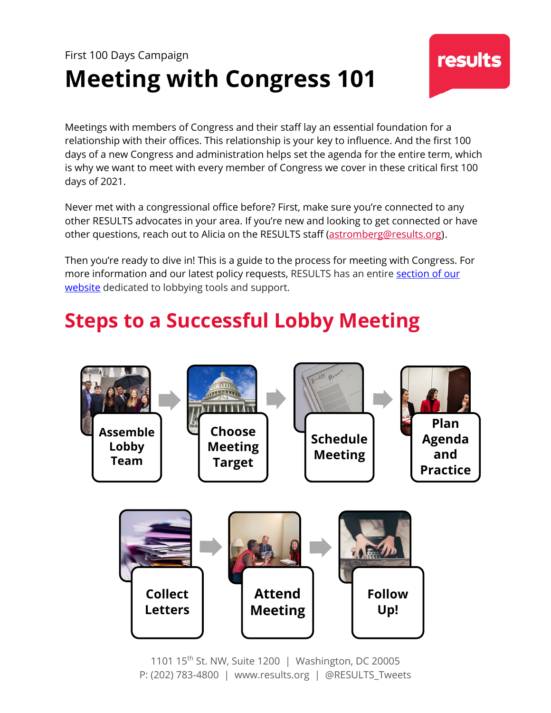# First 100 Days Campaign **Meeting with Congress 101**

Meetings with members of Congress and their staff lay an essential foundation for a relationship with their offices. This relationship is your key to influence. And the first 100 days of a new Congress and administration helps set the agenda for the entire term, which is why we want to meet with every member of Congress we cover in these critical first 100 days of 2021.

Never met with a congressional office before? First, make sure you're connected to any other RESULTS advocates in your area. If you're new and looking to get connected or have other questions, reach out to Alicia on the RESULTS staff (astromberg@results.org).

Then you're ready to dive in! This is a guide to the process for meeting with Congress. For more information and our latest policy requests, RESULTS has an entire section of our website dedicated to lobbying tools and support.

# **Steps to a Successful Lobby Meeting**



1101 15th St. NW, Suite 1200 | Washington, DC 20005 P: (202) 783-4800 | www.results.org | @RESULTS\_Tweets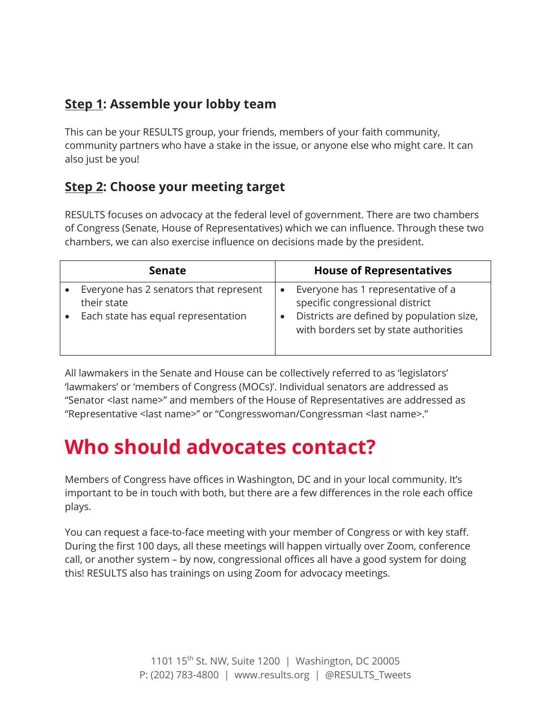## **Step 1: Assemble your lobby team**

This can be your RESULTS group, your friends, members of your faith community, community partners who have a stake in the issue, or anyone else who might care. It can also just be you!

## **Step 2: Choose your meeting target**

RESULTS focuses on advocacy at the federal level of government. There are two chambers of Congress (Senate, House of Representatives) which we can influence. Through these two chambers, we can also exercise influence on decisions made by the president.

| <b>Senate</b>                                                                                | <b>House of Representatives</b>                                                                                                                             |
|----------------------------------------------------------------------------------------------|-------------------------------------------------------------------------------------------------------------------------------------------------------------|
| Everyone has 2 senators that represent<br>their state<br>Each state has equal representation | Everyone has 1 representative of a<br>specific congressional district<br>Districts are defined by population size,<br>with borders set by state authorities |

All lawmakers in the Senate and House can be collectively referred to as 'legislators' 'lawmakers' or 'members of Congress (MOCs)'. Individual senators are addressed as "Senator <last name>" and members of the House of Representatives are addressed as "Representative <last name>" or "Congresswoman/Congressman <last name>."

# **Who should advocates contact?**

Members of Congress have offices in Washington, DC and in your local community. It's important to be in touch with both, but there are a few differences in the role each office plays.

You can request a face-to-face meeting with your member of Congress or with key staff. During the first 100 days, all these meetings will happen virtually over Zoom, conference call, or another system – by now, congressional offices all have a good system for doing this! RESULTS also has trainings on using Zoom for advocacy meetings.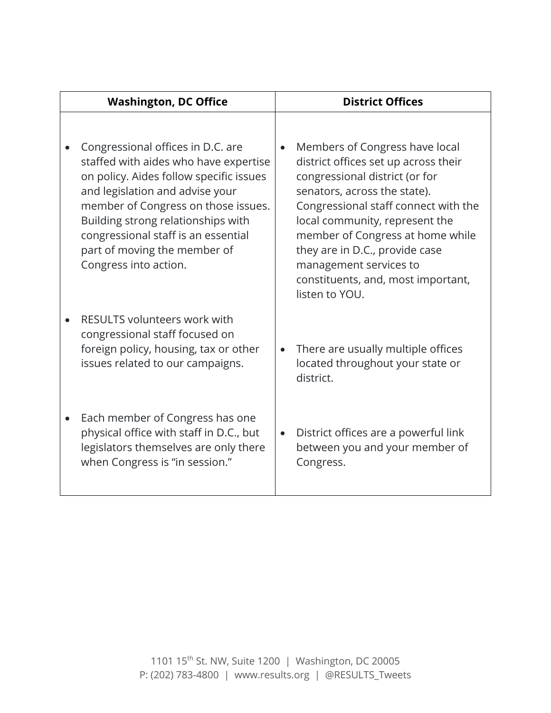| <b>Washington, DC Office</b> |                                                                                                                                                                                                                                                                                                                                       | <b>District Offices</b> |                                                                                                                                                                                                                                                                                                                                                                            |
|------------------------------|---------------------------------------------------------------------------------------------------------------------------------------------------------------------------------------------------------------------------------------------------------------------------------------------------------------------------------------|-------------------------|----------------------------------------------------------------------------------------------------------------------------------------------------------------------------------------------------------------------------------------------------------------------------------------------------------------------------------------------------------------------------|
|                              | Congressional offices in D.C. are<br>staffed with aides who have expertise<br>on policy. Aides follow specific issues<br>and legislation and advise your<br>member of Congress on those issues.<br>Building strong relationships with<br>congressional staff is an essential<br>part of moving the member of<br>Congress into action. | $\bullet$               | Members of Congress have local<br>district offices set up across their<br>congressional district (or for<br>senators, across the state).<br>Congressional staff connect with the<br>local community, represent the<br>member of Congress at home while<br>they are in D.C., provide case<br>management services to<br>constituents, and, most important,<br>listen to YOU. |
|                              | <b>RESULTS volunteers work with</b><br>congressional staff focused on<br>foreign policy, housing, tax or other<br>issues related to our campaigns.                                                                                                                                                                                    | $\bullet$               | There are usually multiple offices<br>located throughout your state or<br>district.                                                                                                                                                                                                                                                                                        |
|                              | Each member of Congress has one<br>physical office with staff in D.C., but<br>legislators themselves are only there<br>when Congress is "in session."                                                                                                                                                                                 |                         | District offices are a powerful link<br>between you and your member of<br>Congress.                                                                                                                                                                                                                                                                                        |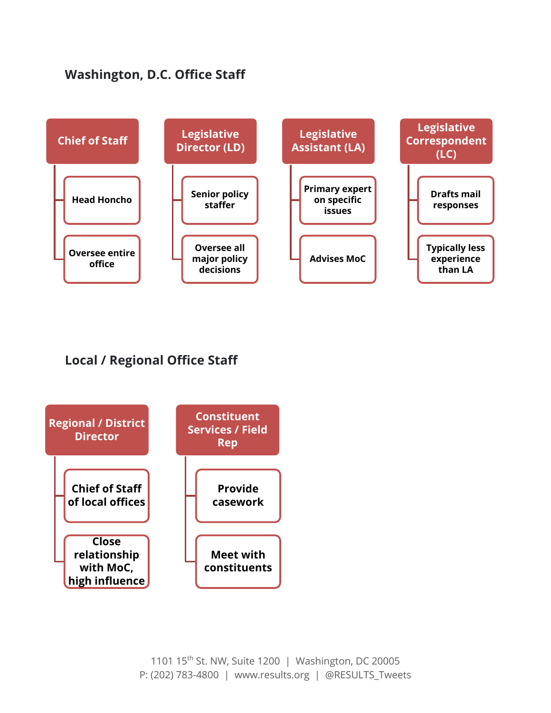## **Washington, D.C. Office Staff**



## **Local / Regional Office Staff**

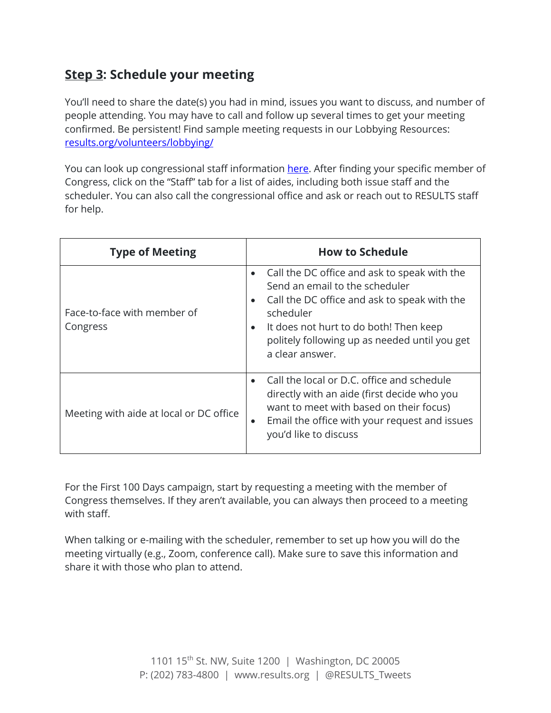# **Step 3: Schedule your meeting**

You'll need to share the date(s) you had in mind, issues you want to discuss, and number of people attending. You may have to call and follow up several times to get your meeting confirmed. Be persistent! Find sample meeting requests in our Lobbying Resources: results.org/volunteers/lobbying/

You can look up congressional staff information here. After finding your specific member of Congress, click on the "Staff" tab for a list of aides, including both issue staff and the scheduler. You can also call the congressional office and ask or reach out to RESULTS staff for help.

| <b>Type of Meeting</b>                  | <b>How to Schedule</b>                                                                                                                                                                                                                                                              |
|-----------------------------------------|-------------------------------------------------------------------------------------------------------------------------------------------------------------------------------------------------------------------------------------------------------------------------------------|
| Face-to-face with member of<br>Congress | Call the DC office and ask to speak with the<br>Send an email to the scheduler<br>Call the DC office and ask to speak with the<br>$\bullet$<br>scheduler<br>It does not hurt to do both! Then keep<br>$\bullet$<br>politely following up as needed until you get<br>a clear answer. |
| Meeting with aide at local or DC office | Call the local or D.C. office and schedule<br>$\bullet$<br>directly with an aide (first decide who you<br>want to meet with based on their focus)<br>Email the office with your request and issues<br>$\bullet$<br>you'd like to discuss                                            |

For the First 100 Days campaign, start by requesting a meeting with the member of Congress themselves. If they aren't available, you can always then proceed to a meeting with staff.

When talking or e-mailing with the scheduler, remember to set up how you will do the meeting virtually (e.g., Zoom, conference call). Make sure to save this information and share it with those who plan to attend.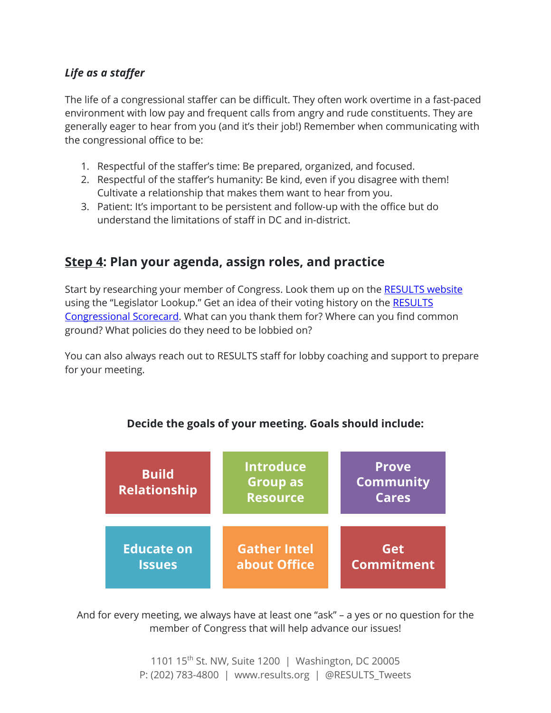#### *Life as a staffer*

The life of a congressional staffer can be difficult. They often work overtime in a fast-paced environment with low pay and frequent calls from angry and rude constituents. They are generally eager to hear from you (and it's their job!) Remember when communicating with the congressional office to be:

- 1. Respectful of the staffer's time: Be prepared, organized, and focused.
- 2. Respectful of the staffer's humanity: Be kind, even if you disagree with them! Cultivate a relationship that makes them want to hear from you.
- 3. Patient: It's important to be persistent and follow-up with the office but do understand the limitations of staff in DC and in-district.

## **Step 4: Plan your agenda, assign roles, and practice**

Start by researching your member of Congress. Look them up on the RESULTS website using the "Legislator Lookup." Get an idea of their voting history on the RESULTS Congressional Scorecard. What can you thank them for? Where can you find common ground? What policies do they need to be lobbied on?

You can also always reach out to RESULTS staff for lobby coaching and support to prepare for your meeting.



#### **Decide the goals of your meeting. Goals should include:**

And for every meeting, we always have at least one "ask" – a yes or no question for the member of Congress that will help advance our issues!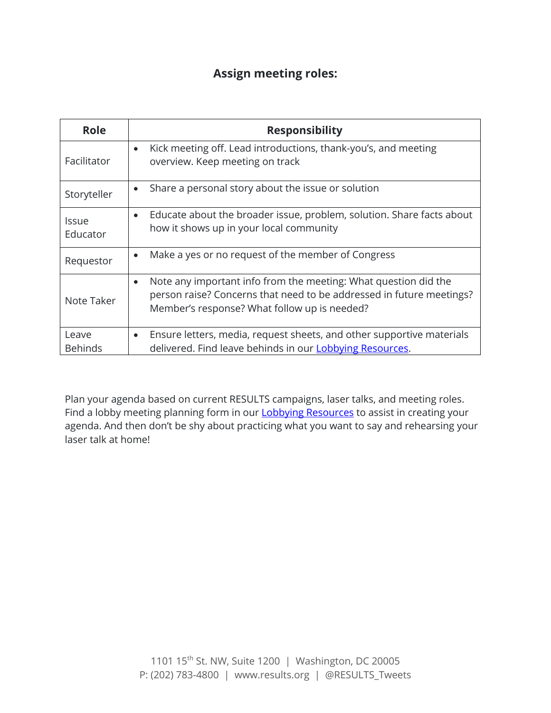## **Assign meeting roles:**

| <b>Role</b>              | <b>Responsibility</b>                                                                                                                                                                                |
|--------------------------|------------------------------------------------------------------------------------------------------------------------------------------------------------------------------------------------------|
| Facilitator              | Kick meeting off. Lead introductions, thank-you's, and meeting<br>$\bullet$<br>overview. Keep meeting on track                                                                                       |
| Storyteller              | Share a personal story about the issue or solution<br>$\bullet$                                                                                                                                      |
| <b>Issue</b><br>Educator | Educate about the broader issue, problem, solution. Share facts about<br>$\bullet$<br>how it shows up in your local community                                                                        |
| Requestor                | Make a yes or no request of the member of Congress<br>$\bullet$                                                                                                                                      |
| Note Taker               | Note any important info from the meeting: What question did the<br>$\bullet$<br>person raise? Concerns that need to be addressed in future meetings?<br>Member's response? What follow up is needed? |
| Leave                    | Ensure letters, media, request sheets, and other supportive materials<br>$\bullet$                                                                                                                   |
| <b>Behinds</b>           | delivered. Find leave behinds in our Lobbying Resources.                                                                                                                                             |

Plan your agenda based on current RESULTS campaigns, laser talks, and meeting roles. Find a lobby meeting planning form in our **Lobbying Resources** to assist in creating your agenda. And then don't be shy about practicing what you want to say and rehearsing your laser talk at home!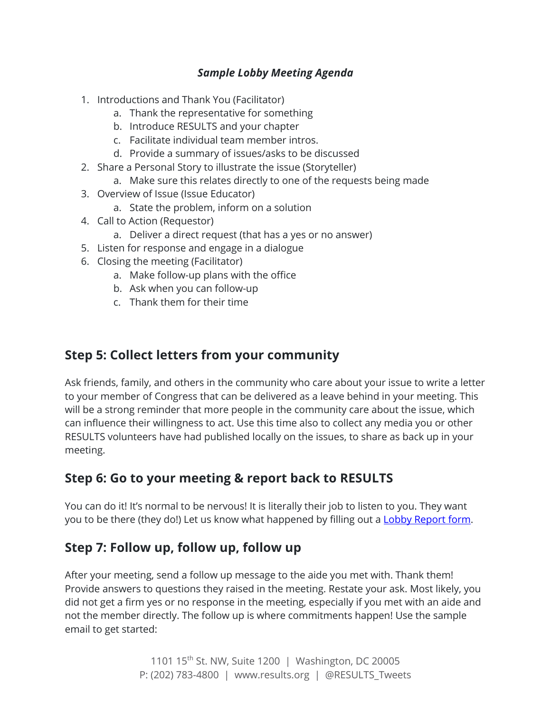#### *Sample Lobby Meeting Agenda*

- 1. Introductions and Thank You (Facilitator)
	- a. Thank the representative for something
	- b. Introduce RESULTS and your chapter
	- c. Facilitate individual team member intros.
	- d. Provide a summary of issues/asks to be discussed
- 2. Share a Personal Story to illustrate the issue (Storyteller)
	- a. Make sure this relates directly to one of the requests being made
- 3. Overview of Issue (Issue Educator)
	- a. State the problem, inform on a solution
- 4. Call to Action (Requestor)
	- a. Deliver a direct request (that has a yes or no answer)
- 5. Listen for response and engage in a dialogue
- 6. Closing the meeting (Facilitator)
	- a. Make follow-up plans with the office
	- b. Ask when you can follow-up
	- c. Thank them for their time

### **Step 5: Collect letters from your community**

Ask friends, family, and others in the community who care about your issue to write a letter to your member of Congress that can be delivered as a leave behind in your meeting. This will be a strong reminder that more people in the community care about the issue, which can influence their willingness to act. Use this time also to collect any media you or other RESULTS volunteers have had published locally on the issues, to share as back up in your meeting.

# **Step 6: Go to your meeting & report back to RESULTS**

You can do it! It's normal to be nervous! It is literally their job to listen to you. They want you to be there (they do!) Let us know what happened by filling out a Lobby Report form.

## **Step 7: Follow up, follow up, follow up**

After your meeting, send a follow up message to the aide you met with. Thank them! Provide answers to questions they raised in the meeting. Restate your ask. Most likely, you did not get a firm yes or no response in the meeting, especially if you met with an aide and not the member directly. The follow up is where commitments happen! Use the sample email to get started: